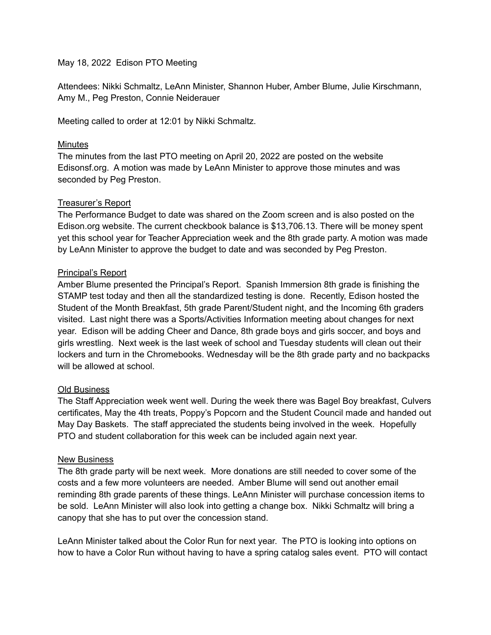# May 18, 2022 Edison PTO Meeting

Attendees: Nikki Schmaltz, LeAnn Minister, Shannon Huber, Amber Blume, Julie Kirschmann, Amy M., Peg Preston, Connie Neiderauer

Meeting called to order at 12:01 by Nikki Schmaltz.

### Minutes

The minutes from the last PTO meeting on April 20, 2022 are posted on the website Edisonsf.org. A motion was made by LeAnn Minister to approve those minutes and was seconded by Peg Preston.

### Treasurer's Report

The Performance Budget to date was shared on the Zoom screen and is also posted on the Edison.org website. The current checkbook balance is \$13,706.13. There will be money spent yet this school year for Teacher Appreciation week and the 8th grade party. A motion was made by LeAnn Minister to approve the budget to date and was seconded by Peg Preston.

### Principal's Report

Amber Blume presented the Principal's Report. Spanish Immersion 8th grade is finishing the STAMP test today and then all the standardized testing is done. Recently, Edison hosted the Student of the Month Breakfast, 5th grade Parent/Student night, and the Incoming 6th graders visited. Last night there was a Sports/Activities Information meeting about changes for next year. Edison will be adding Cheer and Dance, 8th grade boys and girls soccer, and boys and girls wrestling. Next week is the last week of school and Tuesday students will clean out their lockers and turn in the Chromebooks. Wednesday will be the 8th grade party and no backpacks will be allowed at school.

# Old Business

The Staff Appreciation week went well. During the week there was Bagel Boy breakfast, Culvers certificates, May the 4th treats, Poppy's Popcorn and the Student Council made and handed out May Day Baskets. The staff appreciated the students being involved in the week. Hopefully PTO and student collaboration for this week can be included again next year.

#### New Business

The 8th grade party will be next week. More donations are still needed to cover some of the costs and a few more volunteers are needed. Amber Blume will send out another email reminding 8th grade parents of these things. LeAnn Minister will purchase concession items to be sold. LeAnn Minister will also look into getting a change box. Nikki Schmaltz will bring a canopy that she has to put over the concession stand.

LeAnn Minister talked about the Color Run for next year. The PTO is looking into options on how to have a Color Run without having to have a spring catalog sales event. PTO will contact